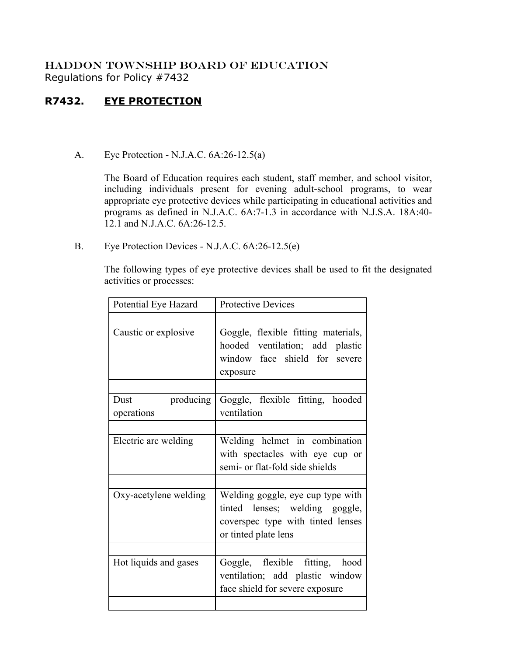## HADDON TOWNSHIP BOARD OF EDUCATION Regulations for Policy #7432

## **R7432. EYE PROTECTION**

A. Eye Protection - N.J.A.C. 6A:26-12.5(a)

The Board of Education requires each student, staff member, and school visitor, including individuals present for evening adult-school programs, to wear appropriate eye protective devices while participating in educational activities and programs as defined in N.J.A.C. 6A:7-1.3 in accordance with N.J.S.A. 18A:40- 12.1 and N.J.A.C. 6A:26-12.5.

B. Eye Protection Devices - N.J.A.C. 6A:26-12.5(e)

The following types of eye protective devices shall be used to fit the designated activities or processes:

| Potential Eye Hazard            | <b>Protective Devices</b>                                                                                                        |
|---------------------------------|----------------------------------------------------------------------------------------------------------------------------------|
|                                 |                                                                                                                                  |
| Caustic or explosive            | Goggle, flexible fitting materials,<br>hooded ventilation; add plastic<br>window face shield for severe<br>exposure              |
| Dust<br>producing<br>operations | Goggle, flexible fitting, hooded<br>ventilation                                                                                  |
| Electric arc welding            | Welding helmet in combination<br>with spectacles with eye cup or<br>semi- or flat-fold side shields                              |
|                                 |                                                                                                                                  |
| Oxy-acetylene welding           | Welding goggle, eye cup type with<br>tinted lenses; welding goggle,<br>coverspec type with tinted lenses<br>or tinted plate lens |
|                                 |                                                                                                                                  |
| Hot liquids and gases           | Goggle, flexible fitting, hood<br>ventilation; add plastic window<br>face shield for severe exposure                             |
|                                 |                                                                                                                                  |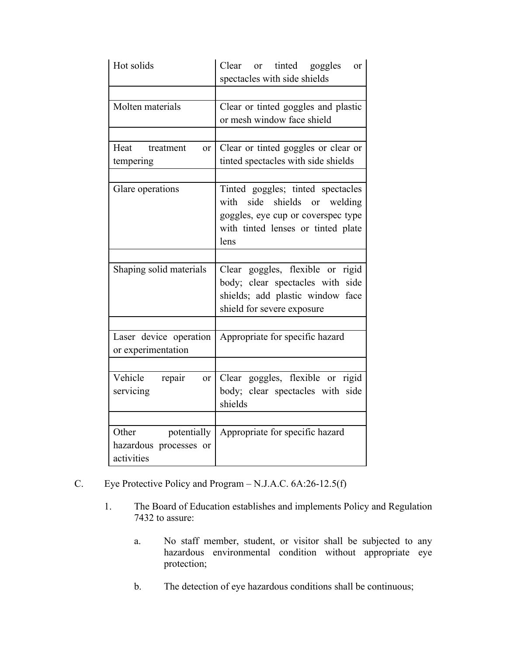| Hot solids                                                   | or tinted goggles<br>Clear<br><b>or</b><br>spectacles with side shields                                                                                  |
|--------------------------------------------------------------|----------------------------------------------------------------------------------------------------------------------------------------------------------|
|                                                              |                                                                                                                                                          |
| Molten materials                                             | Clear or tinted goggles and plastic<br>or mesh window face shield                                                                                        |
|                                                              |                                                                                                                                                          |
| Heat treatment<br>$\alpha$<br>tempering                      | Clear or tinted goggles or clear or<br>tinted spectacles with side shields                                                                               |
|                                                              |                                                                                                                                                          |
| Glare operations                                             | Tinted goggles; tinted spectacles<br>side shields or welding<br>with<br>goggles, eye cup or coverspec type<br>with tinted lenses or tinted plate<br>lens |
|                                                              |                                                                                                                                                          |
| Shaping solid materials                                      | Clear goggles, flexible or rigid<br>body; clear spectacles with side<br>shields; add plastic window face<br>shield for severe exposure                   |
|                                                              |                                                                                                                                                          |
| Laser device operation<br>or experimentation                 | Appropriate for specific hazard                                                                                                                          |
|                                                              |                                                                                                                                                          |
| Vehicle<br>repair<br>or<br>servicing                         | Clear goggles, flexible or rigid<br>body; clear spectacles with side<br>shields                                                                          |
|                                                              |                                                                                                                                                          |
| Other<br>potentially<br>hazardous processes or<br>activities | Appropriate for specific hazard                                                                                                                          |

- C. Eye Protective Policy and Program N.J.A.C. 6A:26-12.5(f)
	- 1. The Board of Education establishes and implements Policy and Regulation 7432 to assure:
		- a. No staff member, student, or visitor shall be subjected to any hazardous environmental condition without appropriate eye protection;
		- b. The detection of eye hazardous conditions shall be continuous;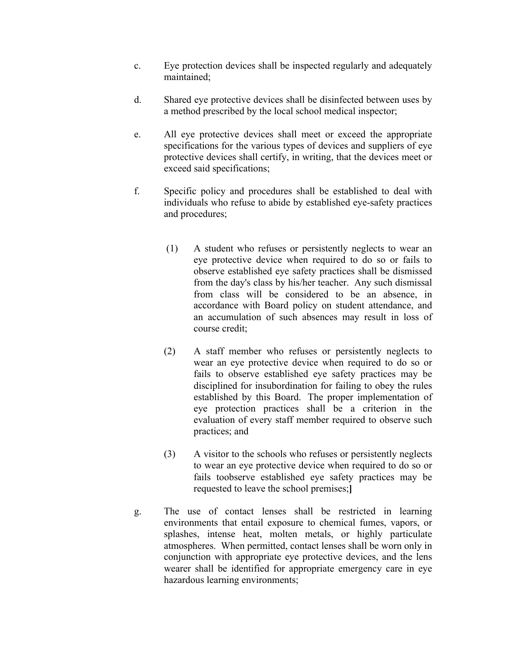- c. Eye protection devices shall be inspected regularly and adequately maintained;
- d. Shared eye protective devices shall be disinfected between uses by a method prescribed by the local school medical inspector;
- e. All eye protective devices shall meet or exceed the appropriate specifications for the various types of devices and suppliers of eye protective devices shall certify, in writing, that the devices meet or exceed said specifications;
- f. Specific policy and procedures shall be established to deal with individuals who refuse to abide by established eye-safety practices and procedures;
	- (1) A student who refuses or persistently neglects to wear an eye protective device when required to do so or fails to observe established eye safety practices shall be dismissed from the day's class by his/her teacher. Any such dismissal from class will be considered to be an absence, in accordance with Board policy on student attendance, and an accumulation of such absences may result in loss of course credit;
	- (2) A staff member who refuses or persistently neglects to wear an eye protective device when required to do so or fails to observe established eye safety practices may be disciplined for insubordination for failing to obey the rules established by this Board. The proper implementation of eye protection practices shall be a criterion in the evaluation of every staff member required to observe such practices; and
	- (3) A visitor to the schools who refuses or persistently neglects to wear an eye protective device when required to do so or fails toobserve established eye safety practices may be requested to leave the school premises;**]**
- g. The use of contact lenses shall be restricted in learning environments that entail exposure to chemical fumes, vapors, or splashes, intense heat, molten metals, or highly particulate atmospheres. When permitted, contact lenses shall be worn only in conjunction with appropriate eye protective devices, and the lens wearer shall be identified for appropriate emergency care in eye hazardous learning environments;